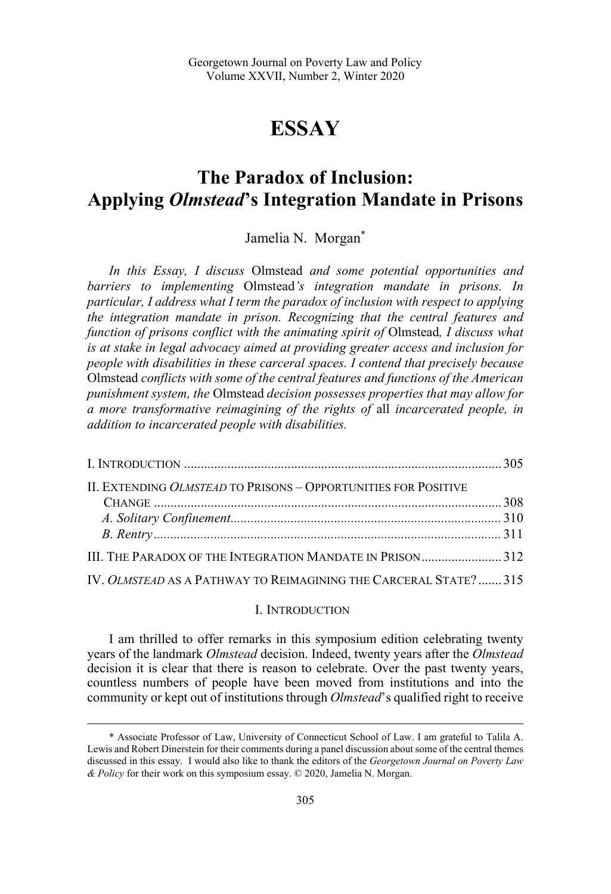# **ESSAY**

# **The Paradox of Inclusion: Applying** *Olmstead***'s Integration Mandate in Prisons**

Jamelia N. Morgan\*

*In this Essay, I discuss* Olmstead *and some potential opportunities and barriers to implementing* Olmstead*'s integration mandate in prisons. In particular, I address what I term the paradox of inclusion with respect to applying the integration mandate in prison. Recognizing that the central features and function of prisons conflict with the animating spirit of* Olmstead*, I discuss what is at stake in legal advocacy aimed at providing greater access and inclusion for people with disabilities in these carceral spaces. I contend that precisely because*  Olmstead *conflicts with some of the central features and functions of the American punishment system, the* Olmstead *decision possesses properties that may allow for a more transformative reimagining of the rights of* all *incarcerated people, in addition to incarcerated people with disabilities.* 

| II. EXTENDING OLMSTEAD TO PRISONS - OPPORTUNITIES FOR POSITIVE   |  |
|------------------------------------------------------------------|--|
|                                                                  |  |
|                                                                  |  |
|                                                                  |  |
| III. THE PARADOX OF THE INTEGRATION MANDATE IN PRISON312         |  |
| IV. OLMSTEAD AS A PATHWAY TO REIMAGINING THE CARCERAL STATE? 315 |  |

#### I. INTRODUCTION

I am thrilled to offer remarks in this symposium edition celebrating twenty years of the landmark *Olmstead* decision. Indeed, twenty years after the *Olmstead* decision it is clear that there is reason to celebrate. Over the past twenty years, countless numbers of people have been moved from institutions and into the community or kept out of institutions through *Olmstead*'s qualified right to receive

<sup>\*</sup> Associate Professor of Law, University of Connecticut School of Law. I am grateful to Talila A. Lewis and Robert Dinerstein for their comments during a panel discussion about some of the central themes discussed in this essay. I would also like to thank the editors of the *Georgetown Journal on Poverty Law & Policy* for their work on this symposium essay. © 2020, Jamelia N. Morgan.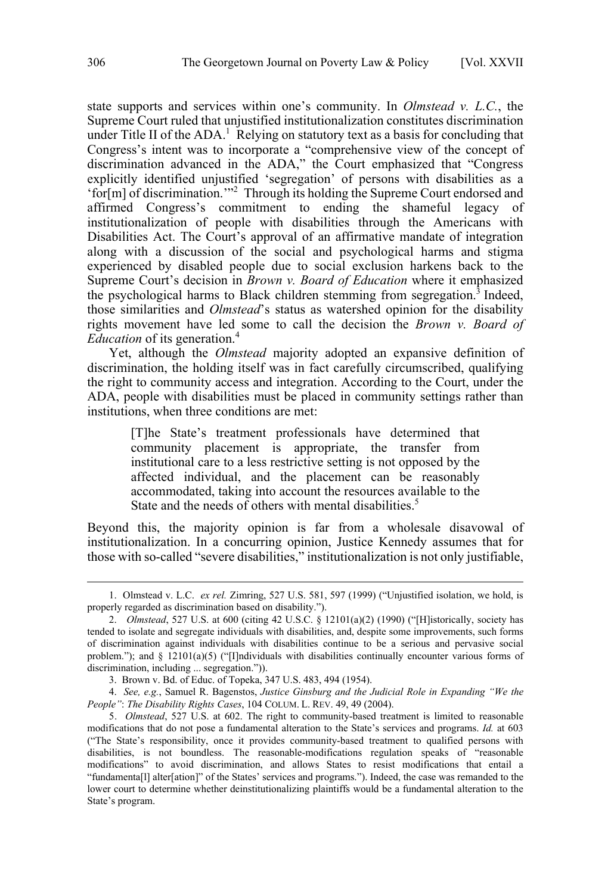state supports and services within one's community. In *Olmstead v. L.C.*, the Supreme Court ruled that unjustified institutionalization constitutes discrimination under Title II of the  $ADA<sup>1</sup>$ . Relying on statutory text as a basis for concluding that Congress's intent was to incorporate a "comprehensive view of the concept of discrimination advanced in the ADA," the Court emphasized that "Congress explicitly identified unjustified 'segregation' of persons with disabilities as a 'for[m] of discrimination.'"2 Through its holding the Supreme Court endorsed and affirmed Congress's commitment to ending the shameful legacy of institutionalization of people with disabilities through the Americans with Disabilities Act. The Court's approval of an affirmative mandate of integration along with a discussion of the social and psychological harms and stigma experienced by disabled people due to social exclusion harkens back to the Supreme Court's decision in *Brown v. Board of Education* where it emphasized the psychological harms to Black children stemming from segregation.<sup>3</sup> Indeed, those similarities and *Olmstead*'s status as watershed opinion for the disability rights movement have led some to call the decision the *Brown v. Board of Education* of its generation.4

Yet, although the *Olmstead* majority adopted an expansive definition of discrimination, the holding itself was in fact carefully circumscribed, qualifying the right to community access and integration. According to the Court, under the ADA, people with disabilities must be placed in community settings rather than institutions, when three conditions are met:

[T]he State's treatment professionals have determined that community placement is appropriate, the transfer from institutional care to a less restrictive setting is not opposed by the affected individual, and the placement can be reasonably accommodated, taking into account the resources available to the State and the needs of others with mental disabilities.<sup>5</sup>

Beyond this, the majority opinion is far from a wholesale disavowal of institutionalization. In a concurring opinion, Justice Kennedy assumes that for those with so-called "severe disabilities," institutionalization is not only justifiable,

 <sup>1.</sup> Olmstead v. L.C. *ex rel.* Zimring, 527 U.S. 581, 597 (1999) ("Unjustified isolation, we hold, is properly regarded as discrimination based on disability.").

<sup>2.</sup> *Olmstead*, 527 U.S. at 600 (citing 42 U.S.C. § 12101(a)(2) (1990) ("[H]istorically, society has tended to isolate and segregate individuals with disabilities, and, despite some improvements, such forms of discrimination against individuals with disabilities continue to be a serious and pervasive social problem."); and  $\S$  12101(a)(5) ("[I]ndividuals with disabilities continually encounter various forms of discrimination, including ... segregation.")).

<sup>3.</sup> Brown v. Bd. of Educ. of Topeka, 347 U.S. 483, 494 (1954).

<sup>4.</sup> *See, e.g.*, Samuel R. Bagenstos, *Justice Ginsburg and the Judicial Role in Expanding "We the People"*: *The Disability Rights Cases*, 104 COLUM. L. REV. 49, 49 (2004).

<sup>5.</sup> *Olmstead*, 527 U.S. at 602. The right to community-based treatment is limited to reasonable modifications that do not pose a fundamental alteration to the State's services and programs. *Id.* at 603 ("The State's responsibility, once it provides community-based treatment to qualified persons with disabilities, is not boundless. The reasonable-modifications regulation speaks of "reasonable modifications" to avoid discrimination, and allows States to resist modifications that entail a "fundamenta[l] alter[ation]" of the States' services and programs."). Indeed, the case was remanded to the lower court to determine whether deinstitutionalizing plaintiffs would be a fundamental alteration to the State's program.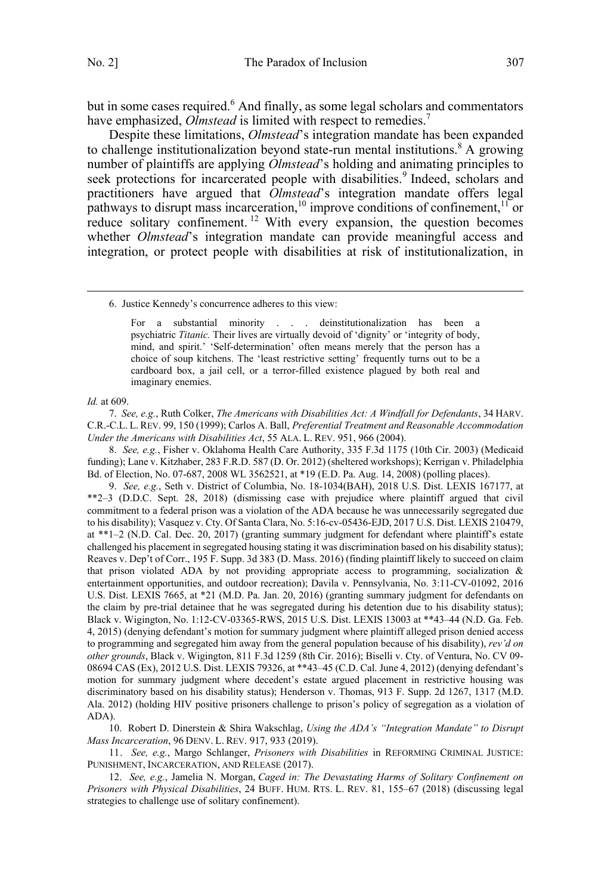but in some cases required.<sup>6</sup> And finally, as some legal scholars and commentators have emphasized, *Olmstead* is limited with respect to remedies.<sup>7</sup>

Despite these limitations, *Olmstead*'s integration mandate has been expanded to challenge institutionalization beyond state-run mental institutions.<sup>8</sup> A growing number of plaintiffs are applying *Olmstead*'s holding and animating principles to seek protections for incarcerated people with disabilities.<sup>9</sup> Indeed, scholars and practitioners have argued that *Olmstead*'s integration mandate offers legal pathways to disrupt mass incarceration,<sup>10</sup> improve conditions of confinement,<sup>11</sup> or reduce solitary confinement.<sup>12</sup> With every expansion, the question becomes whether *Olmstead*'s integration mandate can provide meaningful access and integration, or protect people with disabilities at risk of institutionalization, in

6. Justice Kennedy's concurrence adheres to this view:

For a substantial minority . . . deinstitutionalization has been a psychiatric *Titanic.* Their lives are virtually devoid of 'dignity' or 'integrity of body, mind, and spirit.' 'Self-determination' often means merely that the person has a choice of soup kitchens. The 'least restrictive setting' frequently turns out to be a cardboard box, a jail cell, or a terror-filled existence plagued by both real and imaginary enemies.

 $\overline{a}$ 

*Id.* at 609.

7. *See, e.g.*, Ruth Colker, *The Americans with Disabilities Act: A Windfall for Defendants*, 34 HARV. C.R.-C.L. L. REV. 99, 150 (1999); Carlos A. Ball, *Preferential Treatment and Reasonable Accommodation Under the Americans with Disabilities Act*, 55 ALA. L. REV. 951, 966 (2004).

8. *See, e.g.*, Fisher v. Oklahoma Health Care Authority, 335 F.3d 1175 (10th Cir. 2003) (Medicaid funding); Lane v. Kitzhaber, 283 F.R.D. 587 (D. Or. 2012) (sheltered workshops); Kerrigan v. Philadelphia Bd. of Election, No. 07-687, 2008 WL 3562521, at \*19 (E.D. Pa. Aug. 14, 2008) (polling places).

9. *See, e.g.*, Seth v. District of Columbia, No. 18-1034(BAH), 2018 U.S. Dist. LEXIS 167177, at \*\*2–3 (D.D.C. Sept. 28, 2018) (dismissing case with prejudice where plaintiff argued that civil commitment to a federal prison was a violation of the ADA because he was unnecessarily segregated due to his disability); Vasquez v. Cty. Of Santa Clara, No. 5:16-cv-05436-EJD, 2017 U.S. Dist. LEXIS 210479, at \*\*1–2 (N.D. Cal. Dec. 20, 2017) (granting summary judgment for defendant where plaintiff's estate challenged his placement in segregated housing stating it was discrimination based on his disability status); Reaves v. Dep't of Corr., 195 F. Supp. 3d 383 (D. Mass. 2016) (finding plaintiff likely to succeed on claim that prison violated ADA by not providing appropriate access to programming, socialization & entertainment opportunities, and outdoor recreation); Davila v. Pennsylvania, No. 3:11-CV-01092, 2016 U.S. Dist. LEXIS 7665, at \*21 (M.D. Pa. Jan. 20, 2016) (granting summary judgment for defendants on the claim by pre-trial detainee that he was segregated during his detention due to his disability status); Black v. Wigington, No. 1:12-CV-03365-RWS, 2015 U.S. Dist. LEXIS 13003 at \*\*43–44 (N.D. Ga. Feb. 4, 2015) (denying defendant's motion for summary judgment where plaintiff alleged prison denied access to programming and segregated him away from the general population because of his disability), *rev'd on other grounds*, Black v. Wigington, 811 F.3d 1259 (8th Cir. 2016); Biselli v. Cty. of Ventura, No. CV 09- 08694 CAS (Ex), 2012 U.S. Dist. LEXIS 79326, at \*\*43–45 (C.D. Cal. June 4, 2012) (denying defendant's motion for summary judgment where decedent's estate argued placement in restrictive housing was discriminatory based on his disability status); Henderson v. Thomas, 913 F. Supp. 2d 1267, 1317 (M.D. Ala. 2012) (holding HIV positive prisoners challenge to prison's policy of segregation as a violation of ADA).

10. Robert D. Dinerstein & Shira Wakschlag, *Using the ADA's "Integration Mandate" to Disrupt Mass Incarceration*, 96 DENV. L. REV. 917, 933 (2019).

11. *See, e.g.*, Margo Schlanger, *Prisoners with Disabilities* in REFORMING CRIMINAL JUSTICE: PUNISHMENT, INCARCERATION, AND RELEASE (2017).

12. *See, e.g.*, Jamelia N. Morgan, *Caged in: The Devastating Harms of Solitary Confinement on Prisoners with Physical Disabilities*, 24 BUFF. HUM. RTS. L. REV. 81, 155–67 (2018) (discussing legal strategies to challenge use of solitary confinement).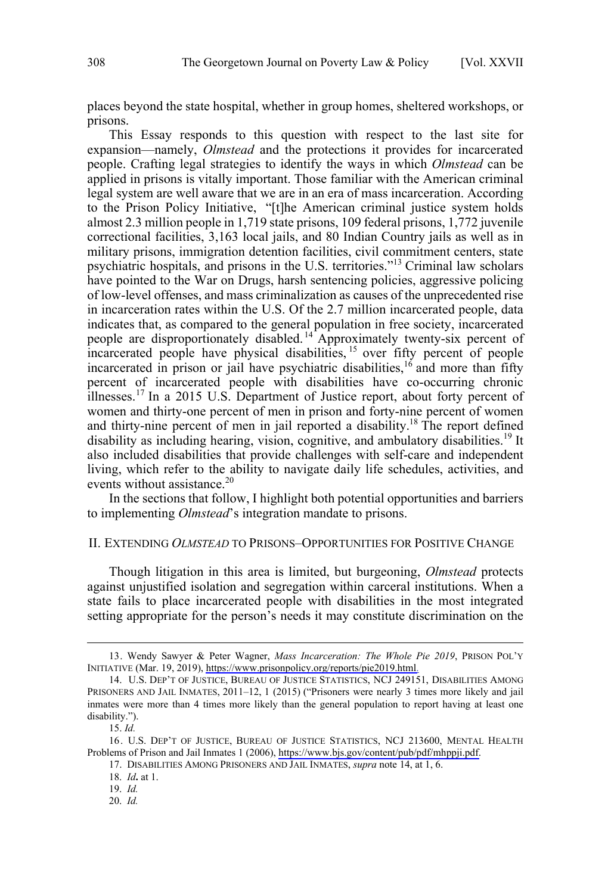<span id="page-3-0"></span>places beyond the state hospital, whether in group homes, sheltered workshops, or prisons.

This Essay responds to this question with respect to the last site for expansion—namely, *Olmstead* and the protections it provides for incarcerated people. Crafting legal strategies to identify the ways in which *Olmstead* can be applied in prisons is vitally important. Those familiar with the American criminal legal system are well aware that we are in an era of mass incarceration. According to the Prison Policy Initiative, "[t]he American criminal justice system holds almost 2.3 million people in 1,719 state prisons, 109 federal prisons, 1,772 juvenile correctional facilities, 3,163 local jails, and 80 Indian Country jails as well as in military prisons, immigration detention facilities, civil commitment centers, state psychiatric hospitals, and prisons in the U.S. territories."<sup>13</sup> Criminal law scholars have pointed to the War on Drugs, harsh sentencing policies, aggressive policing of low-level offenses, and mass criminalization as causes of the unprecedented rise in incarceration rates within the U.S. Of the 2.7 million incarcerated people, data indicates that, as compared to the general population in free society, incarcerated people are disproportionately disabled.<sup>14</sup> Approximately twenty-six percent of incarcerated people have physical disabilities, <sup>15</sup> over fifty percent of people incarcerated in prison or jail have psychiatric disabilities,  $16$  and more than fifty percent of incarcerated people with disabilities have co-occurring chronic illnesses.<sup>17</sup> In a 2015 U.S. Department of Justice report, about forty percent of women and thirty-one percent of men in prison and forty-nine percent of women and thirty-nine percent of men in jail reported a disability.<sup>18</sup> The report defined disability as including hearing, vision, cognitive, and ambulatory disabilities.<sup>19</sup> It also included disabilities that provide challenges with self-care and independent living, which refer to the ability to navigate daily life schedules, activities, and events without assistance.<sup>20</sup>

In the sections that follow, I highlight both potential opportunities and barriers to implementing *Olmstead*'s integration mandate to prisons.

#### II. EXTENDING *OLMSTEAD* TO PRISONS–OPPORTUNITIES FOR POSITIVE CHANGE

Though litigation in this area is limited, but burgeoning, *Olmstead* protects against unjustified isolation and segregation within carceral institutions. When a state fails to place incarcerated people with disabilities in the most integrated setting appropriate for the person's needs it may constitute discrimination on the

<sup>13.</sup> Wendy Sawyer & Peter Wagner, *Mass Incarceration: The Whole Pie 2019*, PRISON POL'Y INITIATIVE (Mar. 19, 2019), [https://www.prisonpolicy.org/reports/pie2019.html.](https://www.prisonpolicy.org/reports/pie2019.html)

<sup>14.</sup> U.S. DEP'T OF JUSTICE, BUREAU OF JUSTICE STATISTICS, NCJ 249151, DISABILITIES AMONG PRISONERS AND JAIL INMATES, 2011–12, 1 (2015) ("Prisoners were nearly 3 times more likely and jail inmates were more than 4 times more likely than the general population to report having at least one disability.").

<sup>15.</sup> *Id.*

<sup>16.</sup> U.S. DEP'T OF JUSTICE, BUREAU OF JUSTICE STATISTICS, NCJ 213600, MENTAL HEALTH Problems of Prison and Jail Inmates 1 (2006), [https://www.bjs.gov/content/pub/pdf/mhppji.pdf.](https://www.bjs.gov/content/pub/pdf/mhppji.pdf)

<sup>17.</sup> DISABILITIES AMONG PRISONERS AND JAIL INMATES, *supra* note 14, at 1, 6.

<sup>18.</sup> *Id***.** at 1.

<sup>19.</sup> *Id.*

<sup>20.</sup> *Id.*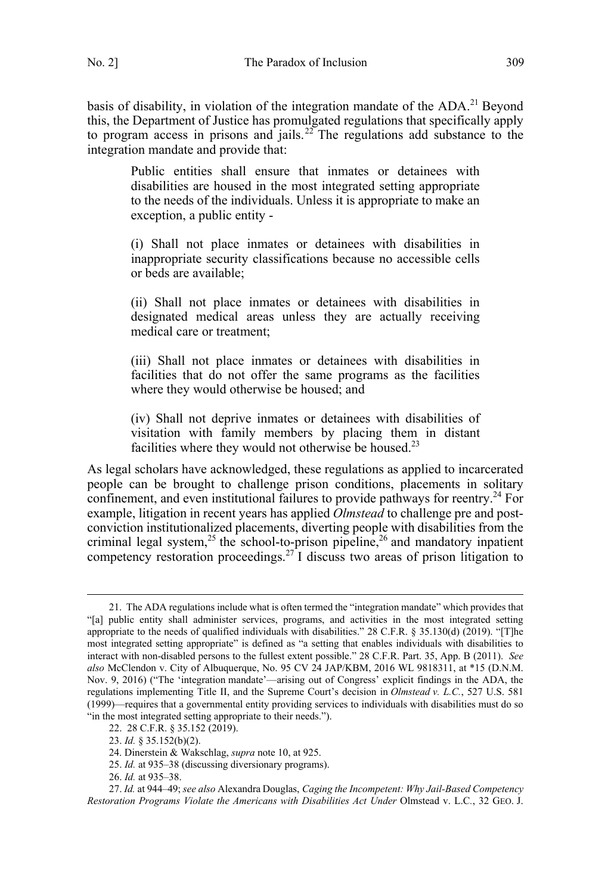basis of disability, in violation of the integration mandate of the ADA.<sup>21</sup> Beyond this, the Department of Justice has promulgated regulations that specifically apply to program access in prisons and jails.<sup>22</sup> The regulations add substance to the integration mandate and provide that:

Public entities shall ensure that inmates or detainees with disabilities are housed in the most integrated setting appropriate to the needs of the individuals. Unless it is appropriate to make an exception, a public entity -

(i) Shall not place inmates or detainees with disabilities in inappropriate security classifications because no accessible cells or beds are available;

(ii) Shall not place inmates or detainees with disabilities in designated medical areas unless they are actually receiving medical care or treatment;

(iii) Shall not place inmates or detainees with disabilities in facilities that do not offer the same programs as the facilities where they would otherwise be housed; and

(iv) Shall not deprive inmates or detainees with disabilities of visitation with family members by placing them in distant facilities where they would not otherwise be housed.<sup>23</sup>

As legal scholars have acknowledged, these regulations as applied to incarcerated people can be brought to challenge prison conditions, placements in solitary confinement, and even institutional failures to provide pathways for reentry.<sup>24</sup> For example, litigation in recent years has applied *Olmstead* to challenge pre and postconviction institutionalized placements, diverting people with disabilities from the criminal legal system,<sup>25</sup> the school-to-prison pipeline,<sup>26</sup> and mandatory inpatient competency restoration proceedings.<sup>27</sup> I discuss two areas of prison litigation to

<sup>21.</sup> The ADA regulations include what is often termed the "integration mandate" which provides that "[a] public entity shall administer services, programs, and activities in the most integrated setting appropriate to the needs of qualified individuals with disabilities." 28 C.F.R. § 35.130(d) (2019). "[T]he most integrated setting appropriate" is defined as "a setting that enables individuals with disabilities to interact with non-disabled persons to the fullest extent possible." 28 C.F.R. Part. 35, App. B (2011). *See also* McClendon v. City of Albuquerque, No. 95 CV 24 JAP/KBM, 2016 WL 9818311, at \*15 (D.N.M. Nov. 9, 2016) ("The 'integration mandate'—arising out of Congress' explicit findings in the ADA, the regulations implementing Title II, and the Supreme Court's decision in *Olmstead v. L.C.*, 527 U.S. 581 (1999)—requires that a governmental entity providing services to individuals with disabilities must do so "in the most integrated setting appropriate to their needs.").

<sup>22. 28</sup> C.F.R. § 35.152 (2019).

<sup>23.</sup> *Id.* § 35.152(b)(2).

<sup>24.</sup> Dinerstein & Wakschlag, *supra* note 10, at 925.

<sup>25.</sup> *Id.* at 935–38 (discussing diversionary programs).

<sup>26.</sup> *Id.* at 935–38.

<sup>27.</sup> *Id.* at 944–49; *see also* Alexandra Douglas, *Caging the Incompetent: Why Jail-Based Competency Restoration Programs Violate the Americans with Disabilities Act Under* Olmstead v. L.C*.*, 32 GEO. J.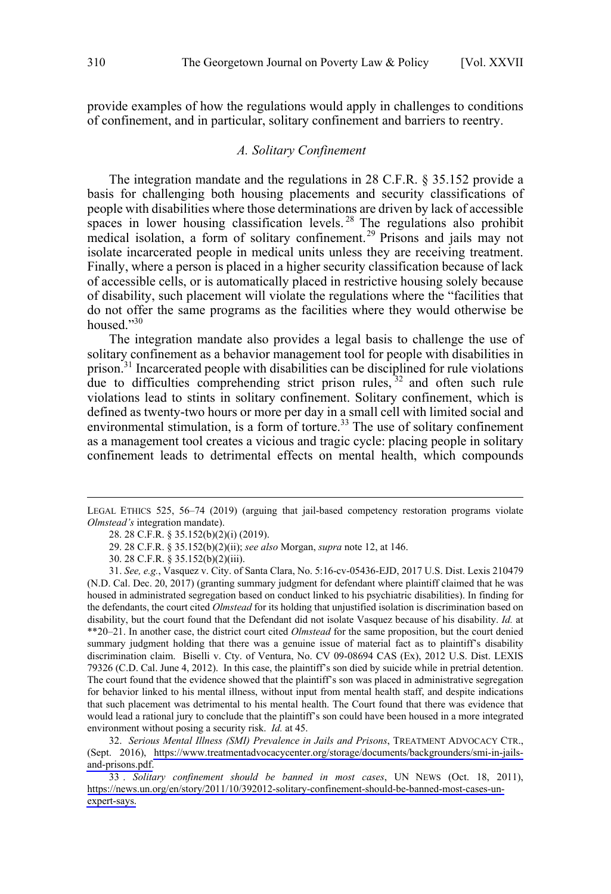<span id="page-5-0"></span>provide examples of how the regulations would apply in challenges to conditions of confinement, and in particular, solitary confinement and barriers to reentry.

## *A. Solitary Confinement*

The integration mandate and the regulations in 28 C.F.R. § 35.152 provide a basis for challenging both housing placements and security classifications of people with disabilities where those determinations are driven by lack of accessible spaces in lower housing classification levels.<sup>28</sup> The regulations also prohibit medical isolation, a form of solitary confinement.<sup>29</sup> Prisons and jails may not isolate incarcerated people in medical units unless they are receiving treatment. Finally, where a person is placed in a higher security classification because of lack of accessible cells, or is automatically placed in restrictive housing solely because of disability, such placement will violate the regulations where the "facilities that do not offer the same programs as the facilities where they would otherwise be housed."30

The integration mandate also provides a legal basis to challenge the use of solitary confinement as a behavior management tool for people with disabilities in prison.<sup>31</sup> Incarcerated people with disabilities can be disciplined for rule violations due to difficulties comprehending strict prison rules,  $32$  and often such rule violations lead to stints in solitary confinement. Solitary confinement, which is defined as twenty-two hours or more per day in a small cell with limited social and environmental stimulation, is a form of torture.<sup>33</sup> The use of solitary confinement as a management tool creates a vicious and tragic cycle: placing people in solitary confinement leads to detrimental effects on mental health, which compounds

*Serious Mental Illness (SMI) Prevalence in Jails and Prisons*, TREATMENT ADVOCACY CTR., 32. (Sept. 2016), [https://www.treatmentadvocacycenter.org/storage/documents/backgrounders/smi-in-jails](https://www.treatmentadvocacycenter.org/storage/documents/backgrounders/smi-in-jails-and-prisons.pdf)[and-prisons.pdf.](https://www.treatmentadvocacycenter.org/storage/documents/backgrounders/smi-in-jails-and-prisons.pdf)

*Solitary confinement should be banned in most cases*, UN NEWS (Oct. 18, 2011), 33 . [https://news.un.org/en/story/2011/10/392012-solitary-confinement-should-be-banned-most-cases-un](https://news.un.org/en/story/2011/10/392012-solitary-confinement-should-be-banned-most-cases-un-expert-says)[expert-says.](https://news.un.org/en/story/2011/10/392012-solitary-confinement-should-be-banned-most-cases-un-expert-says)

LEGAL ETHICS 525, 56–74 (2019) (arguing that jail-based competency restoration programs violate *Olmstead's* integration mandate).

<sup>28. 28</sup> C.F.R. § 35.152(b)(2)(i) (2019).

<sup>29. 28</sup> C.F.R. § 35.152(b)(2)(ii); *see also* Morgan, *supra* note 12, at 146.

<sup>30. 28</sup> C.F.R. § 35.152(b)(2)(iii).

<sup>31.</sup> *See, e.g.*, Vasquez v. City. of Santa Clara, No. 5:16-cv-05436-EJD, 2017 U.S. Dist. Lexis 210479 (N.D. Cal. Dec. 20, 2017) (granting summary judgment for defendant where plaintiff claimed that he was housed in administrated segregation based on conduct linked to his psychiatric disabilities). In finding for the defendants, the court cited *Olmstead* for its holding that unjustified isolation is discrimination based on disability, but the court found that the Defendant did not isolate Vasquez because of his disability. *Id.* at \*\*20–21. In another case, the district court cited *Olmstead* for the same proposition, but the court denied summary judgment holding that there was a genuine issue of material fact as to plaintiff's disability discrimination claim. Biselli v. Cty. of Ventura, No. CV 09-08694 CAS (Ex), 2012 U.S. Dist. LEXIS 79326 (C.D. Cal. June 4, 2012). In this case, the plaintiff's son died by suicide while in pretrial detention. The court found that the evidence showed that the plaintiff's son was placed in administrative segregation for behavior linked to his mental illness, without input from mental health staff, and despite indications that such placement was detrimental to his mental health. The Court found that there was evidence that would lead a rational jury to conclude that the plaintiff's son could have been housed in a more integrated environment without posing a security risk. *Id.* at 45.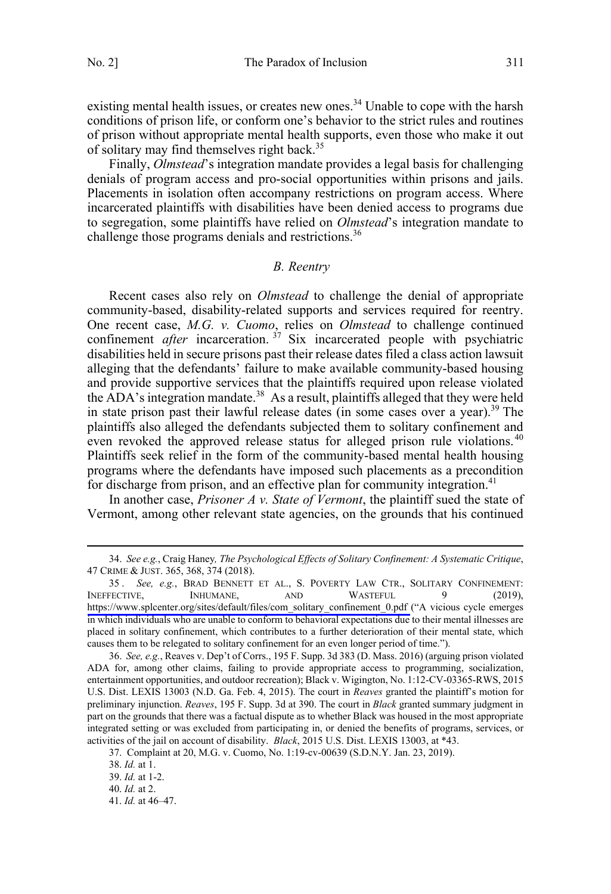<span id="page-6-0"></span>existing mental health issues, or creates new ones.<sup>34</sup> Unable to cope with the harsh conditions of prison life, or conform one's behavior to the strict rules and routines of prison without appropriate mental health supports, even those who make it out of solitary may find themselves right back.<sup>35</sup>

Finally, *Olmstead*'s integration mandate provides a legal basis for challenging denials of program access and pro-social opportunities within prisons and jails. Placements in isolation often accompany restrictions on program access. Where incarcerated plaintiffs with disabilities have been denied access to programs due to segregation, some plaintiffs have relied on *Olmstead*'s integration mandate to challenge those programs denials and restrictions.<sup>36</sup>

### *B. Reentry*

Recent cases also rely on *Olmstead* to challenge the denial of appropriate community-based, disability-related supports and services required for reentry. One recent case, *M.G. v. Cuomo*, relies on *Olmstead* to challenge continued confinement *after* incarceration. <sup>37</sup> Six incarcerated people with psychiatric disabilities held in secure prisons past their release dates filed a class action lawsuit alleging that the defendants' failure to make available community-based housing and provide supportive services that the plaintiffs required upon release violated the  $\widehat{A}DA$ 's integration mandate.<sup>38</sup> As a result, plaintiffs alleged that they were held in state prison past their lawful release dates (in some cases over a year).<sup>39</sup> The plaintiffs also alleged the defendants subjected them to solitary confinement and even revoked the approved release status for alleged prison rule violations.<sup>40</sup> Plaintiffs seek relief in the form of the community-based mental health housing programs where the defendants have imposed such placements as a precondition for discharge from prison, and an effective plan for community integration.<sup>41</sup>

In another case, *Prisoner A v. State of Vermont*, the plaintiff sued the state of Vermont, among other relevant state agencies, on the grounds that his continued

 <sup>34.</sup> *See e.g.*, Craig Haney*, The Psychological Effects of Solitary Confinement: A Systematic Critique*, 47 CRIME & JUST. 365, 368, 374 (2018).

<sup>35.</sup> See, e.g., BRAD BENNETT ET AL., S. POVERTY LAW CTR., SOLITARY CONFINEMENT: INEFFECTIVE, INHUMANE, AND WASTEFUL 9 (2019), [https://www.splcenter.org/sites/default/files/com\\_solitary\\_confinement\\_0.pdf](https://www.splcenter.org/sites/default/files/com_solitary_confinement_0.pdf) ("A vicious cycle emerges in which individuals who are unable to conform to behavioral expectations due to their mental illnesses are placed in solitary confinement, which contributes to a further deterioration of their mental state, which causes them to be relegated to solitary confinement for an even longer period of time.").

<sup>36.</sup> *See, e.g.*, Reaves v. Dep't of Corrs., 195 F. Supp. 3d 383 (D. Mass. 2016) (arguing prison violated ADA for, among other claims, failing to provide appropriate access to programming, socialization, entertainment opportunities, and outdoor recreation); Black v. Wigington, No. 1:12-CV-03365-RWS, 2015 U.S. Dist. LEXIS 13003 (N.D. Ga. Feb. 4, 2015). The court in *Reaves* granted the plaintiff's motion for preliminary injunction. *Reaves*, 195 F. Supp. 3d at 390. The court in *Black* granted summary judgment in part on the grounds that there was a factual dispute as to whether Black was housed in the most appropriate integrated setting or was excluded from participating in, or denied the benefits of programs, services, or activities of the jail on account of disability. *Black*, 2015 U.S. Dist. LEXIS 13003, at \*43.

<sup>37.</sup> Complaint at 20, M.G. v. Cuomo, No. 1:19-cv-00639 (S.D.N.Y. Jan. 23, 2019).

<sup>38.</sup> *Id.* at 1.

<sup>39.</sup> *Id.* at 1-2.

<sup>40.</sup> *Id.* at 2.

<sup>41.</sup> *Id.* at 46–47.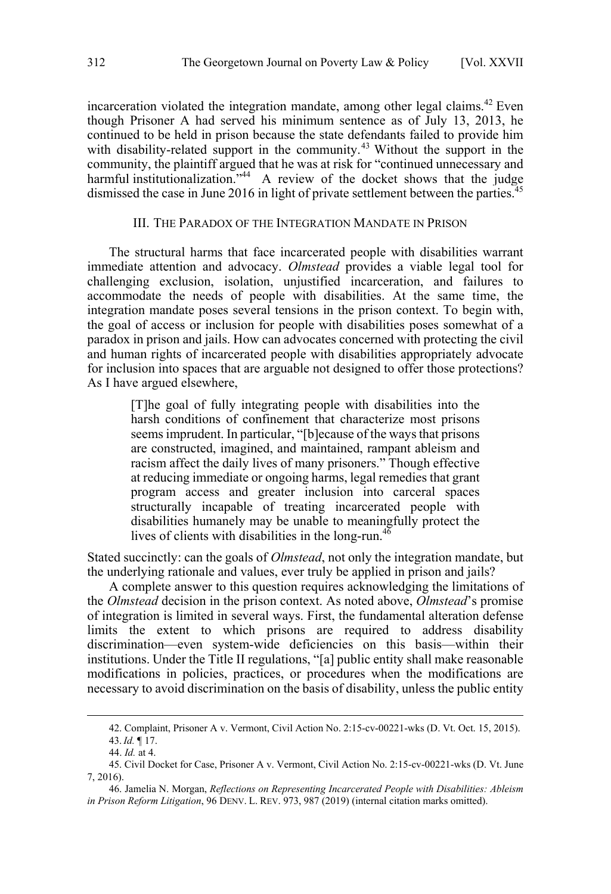<span id="page-7-0"></span>incarceration violated the integration mandate, among other legal claims.<sup>42</sup> Even though Prisoner A had served his minimum sentence as of July 13, 2013, he continued to be held in prison because the state defendants failed to provide him with disability-related support in the community.<sup>43</sup> Without the support in the community, the plaintiff argued that he was at risk for "continued unnecessary and harmful institutionalization."<sup>44</sup> A review of the docket shows that the judge dismissed the case in June 2016 in light of private settlement between the parties.<sup>45</sup>

### III. THE PARADOX OF THE INTEGRATION MANDATE IN PRISON

The structural harms that face incarcerated people with disabilities warrant immediate attention and advocacy. *Olmstead* provides a viable legal tool for challenging exclusion, isolation, unjustified incarceration, and failures to accommodate the needs of people with disabilities. At the same time, the integration mandate poses several tensions in the prison context. To begin with, the goal of access or inclusion for people with disabilities poses somewhat of a paradox in prison and jails. How can advocates concerned with protecting the civil and human rights of incarcerated people with disabilities appropriately advocate for inclusion into spaces that are arguable not designed to offer those protections? As I have argued elsewhere,

[T]he goal of fully integrating people with disabilities into the harsh conditions of confinement that characterize most prisons seems imprudent. In particular, "[b]ecause of the ways that prisons are constructed, imagined, and maintained, rampant ableism and racism affect the daily lives of many prisoners." Though effective at reducing immediate or ongoing harms, legal remedies that grant program access and greater inclusion into carceral spaces structurally incapable of treating incarcerated people with disabilities humanely may be unable to meaningfully protect the lives of clients with disabilities in the long-run. $46$ 

Stated succinctly: can the goals of *Olmstead*, not only the integration mandate, but the underlying rationale and values, ever truly be applied in prison and jails?

A complete answer to this question requires acknowledging the limitations of the *Olmstead* decision in the prison context. As noted above, *Olmstead*'s promise of integration is limited in several ways. First, the fundamental alteration defense limits the extent to which prisons are required to address disability discrimination—even system-wide deficiencies on this basis—within their institutions. Under the Title II regulations, "[a] public entity shall make reasonable modifications in policies, practices, or procedures when the modifications are necessary to avoid discrimination on the basis of disability, unless the public entity

 <sup>42.</sup> Complaint, Prisoner A v. Vermont, Civil Action No. 2:15-cv-00221-wks (D. Vt. Oct. 15, 2015). 43.*Id.* ¶ 17.  $\overline{a}$ 

<sup>44.</sup> *Id.* at 4.

<sup>45.</sup> Civil Docket for Case, Prisoner A v. Vermont, Civil Action No. 2:15-cv-00221-wks (D. Vt. June 7, 2016).

<sup>46.</sup> Jamelia N. Morgan, *Reflections on Representing Incarcerated People with Disabilities: Ableism in Prison Reform Litigation*, 96 DENV. L. REV. 973, 987 (2019) (internal citation marks omitted).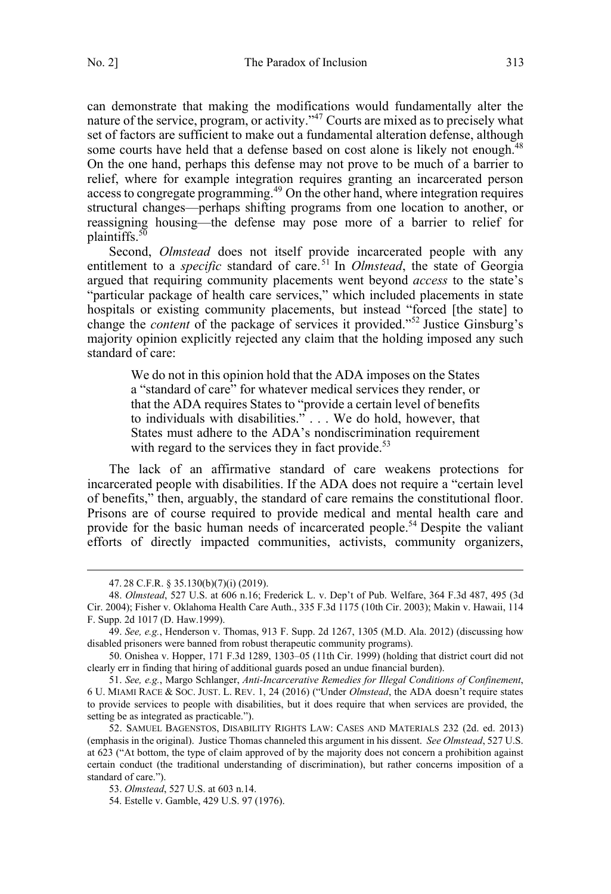can demonstrate that making the modifications would fundamentally alter the nature of the service, program, or activity."<sup>47</sup> Courts are mixed as to precisely what set of factors are sufficient to make out a fundamental alteration defense, although some courts have held that a defense based on cost alone is likely not enough.<sup>48</sup> On the one hand, perhaps this defense may not prove to be much of a barrier to relief, where for example integration requires granting an incarcerated person access to congregate programming.<sup>49</sup> On the other hand, where integration requires structural changes—perhaps shifting programs from one location to another, or reassigning housing—the defense may pose more of a barrier to relief for plaintiffs.<sup>50</sup>

Second, *Olmstead* does not itself provide incarcerated people with any entitlement to a *specific* standard of care.<sup>51</sup> In *Olmstead*, the state of Georgia argued that requiring community placements went beyond *access* to the state's "particular package of health care services," which included placements in state hospitals or existing community placements, but instead "forced [the state] to change the *content* of the package of services it provided."52 Justice Ginsburg's majority opinion explicitly rejected any claim that the holding imposed any such standard of care:

We do not in this opinion hold that the ADA imposes on the States a "standard of care" for whatever medical services they render, or that the ADA requires States to "provide a certain level of benefits to individuals with disabilities." . . . We do hold, however, that States must adhere to the ADA's nondiscrimination requirement with regard to the services they in fact provide. $53$ 

The lack of an affirmative standard of care weakens protections for incarcerated people with disabilities. If the ADA does not require a "certain level of benefits," then, arguably, the standard of care remains the constitutional floor. Prisons are of course required to provide medical and mental health care and provide for the basic human needs of incarcerated people.<sup>54</sup> Despite the valiant efforts of directly impacted communities, activists, community organizers,

 <sup>47.</sup> 28 C.F.R. § 35.130(b)(7)(i) (2019).

<sup>48.</sup> *Olmstead*, 527 U.S. at 606 n.16; Frederick L. v. Dep't of Pub. Welfare, 364 F.3d 487, 495 (3d Cir. 2004); Fisher v. Oklahoma Health Care Auth., 335 F.3d 1175 (10th Cir. 2003); Makin v. Hawaii, 114 F. Supp. 2d 1017 (D. Haw.1999).

<sup>49.</sup> *See, e.g.*, Henderson v. Thomas, 913 F. Supp. 2d 1267, 1305 (M.D. Ala. 2012) (discussing how disabled prisoners were banned from robust therapeutic community programs).

<sup>50.</sup> Onishea v. Hopper, 171 F.3d 1289, 1303–05 (11th Cir. 1999) (holding that district court did not clearly err in finding that hiring of additional guards posed an undue financial burden).

<sup>51.</sup> *See, e.g.*, Margo Schlanger, *Anti-Incarcerative Remedies for Illegal Conditions of Confinement*, 6 U. MIAMI RACE & SOC. JUST. L. REV. 1, 24 (2016) ("Under *Olmstead*, the ADA doesn't require states to provide services to people with disabilities, but it does require that when services are provided, the setting be as integrated as practicable.").

<sup>52.</sup> SAMUEL BAGENSTOS, DISABILITY RIGHTS LAW: CASES AND MATERIALS 232 (2d. ed. 2013) (emphasis in the original). Justice Thomas channeled this argument in his dissent. *See Olmstead*, 527 U.S. at 623 ("At bottom, the type of claim approved of by the majority does not concern a prohibition against certain conduct (the traditional understanding of discrimination), but rather concerns imposition of a standard of care.").

<sup>53.</sup> *Olmstead*, 527 U.S. at 603 n.14.

<sup>54.</sup> Estelle v. Gamble, 429 U.S. 97 (1976).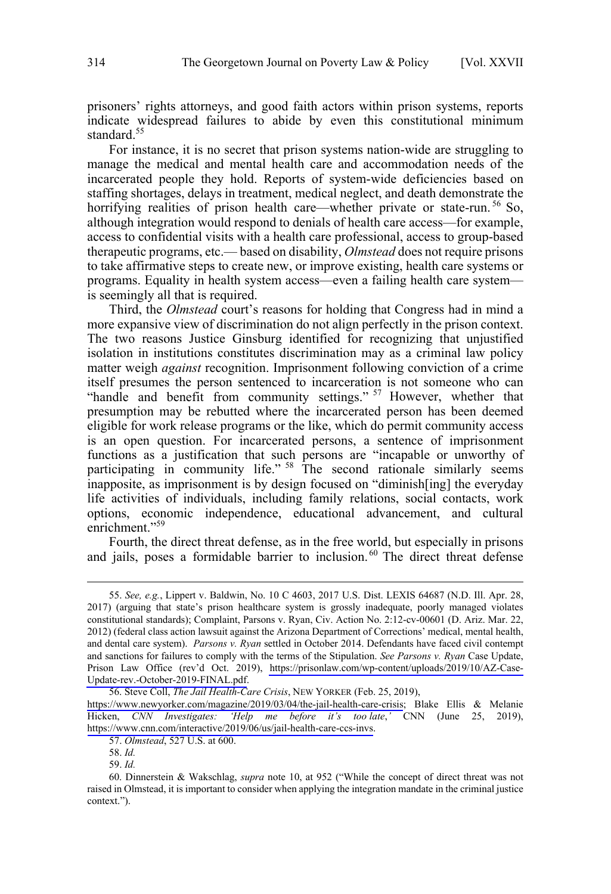prisoners' rights attorneys, and good faith actors within prison systems, reports indicate widespread failures to abide by even this constitutional minimum standard.<sup>55</sup>

For instance, it is no secret that prison systems nation-wide are struggling to manage the medical and mental health care and accommodation needs of the incarcerated people they hold. Reports of system-wide deficiencies based on staffing shortages, delays in treatment, medical neglect, and death demonstrate the horrifying realities of prison health care—whether private or state-run.<sup>56</sup> So, although integration would respond to denials of health care access—for example, access to confidential visits with a health care professional, access to group-based therapeutic programs, etc.— based on disability, *Olmstead* does not require prisons to take affirmative steps to create new, or improve existing, health care systems or programs. Equality in health system access—even a failing health care system is seemingly all that is required.

Third, the *Olmstead* court's reasons for holding that Congress had in mind a more expansive view of discrimination do not align perfectly in the prison context. The two reasons Justice Ginsburg identified for recognizing that unjustified isolation in institutions constitutes discrimination may as a criminal law policy matter weigh *against* recognition. Imprisonment following conviction of a crime itself presumes the person sentenced to incarceration is not someone who can "handle and benefit from community settings." <sup>57</sup> However, whether that presumption may be rebutted where the incarcerated person has been deemed eligible for work release programs or the like, which do permit community access is an open question. For incarcerated persons, a sentence of imprisonment functions as a justification that such persons are "incapable or unworthy of participating in community life." <sup>58</sup> The second rationale similarly seems inapposite, as imprisonment is by design focused on "diminish[ing] the everyday life activities of individuals, including family relations, social contacts, work options, economic independence, educational advancement, and cultural enrichment."<sup>59</sup>

Fourth, the direct threat defense, as in the free world, but especially in prisons and jails, poses a formidable barrier to inclusion. $60$  The direct threat defense

58. *Id.*

 $\overline{a}$ 

59. *Id.*

<sup>55.</sup>  *See, e.g.*, Lippert v. Baldwin, No. 10 C 4603, 2017 U.S. Dist. LEXIS 64687 (N.D. Ill. Apr. 28, 2017) (arguing that state's prison healthcare system is grossly inadequate, poorly managed violates constitutional standards); Complaint, Parsons v. Ryan, Civ. Action No. 2:12-cv-00601 (D. Ariz. Mar. 22, 2012) (federal class action lawsuit against the Arizona Department of Corrections' medical, mental health, and dental care system). *Parsons v. Ryan* settled in October 2014. Defendants have faced civil contempt and sanctions for failures to comply with the terms of the Stipulation. *See Parsons v. Ryan* Case Update, Prison Law Office (rev'd Oct. 2019), [https://prisonlaw.com/wp-content/uploads/2019/10/AZ-Case-](https://prisonlaw.com/wp-content/uploads/2019/10/AZ-Case-Update-rev.-October-2019-FINAL.pdf)[Update-rev.-October-2019-FINAL.pdf.](https://prisonlaw.com/wp-content/uploads/2019/10/AZ-Case-Update-rev.-October-2019-FINAL.pdf)

<sup>56.</sup> Steve Coll, *The Jail Health-Care Crisis*, NEW YORKER (Feb. 25, 2019),

[https://www.newyorker.com/magazine/2019/03/04/the-jail-health-care-crisis;](https://www.newyorker.com/magazine/2019/03/04/the-jail-health-care-crisis) Blake Ellis & Melanie Hicken, *CNN Investigates: 'Help me before it's too late*,*'* CNN (June 25, 2019), <https://www.cnn.com/interactive/2019/06/us/jail-health-care-ccs-invs>.

<sup>57.</sup> *Olmstead*, 527 U.S. at 600.

<sup>60.</sup> Dinnerstein & Wakschlag, *supra* note 10, at 952 ("While the concept of direct threat was not raised in Olmstead, it is important to consider when applying the integration mandate in the criminal justice context.").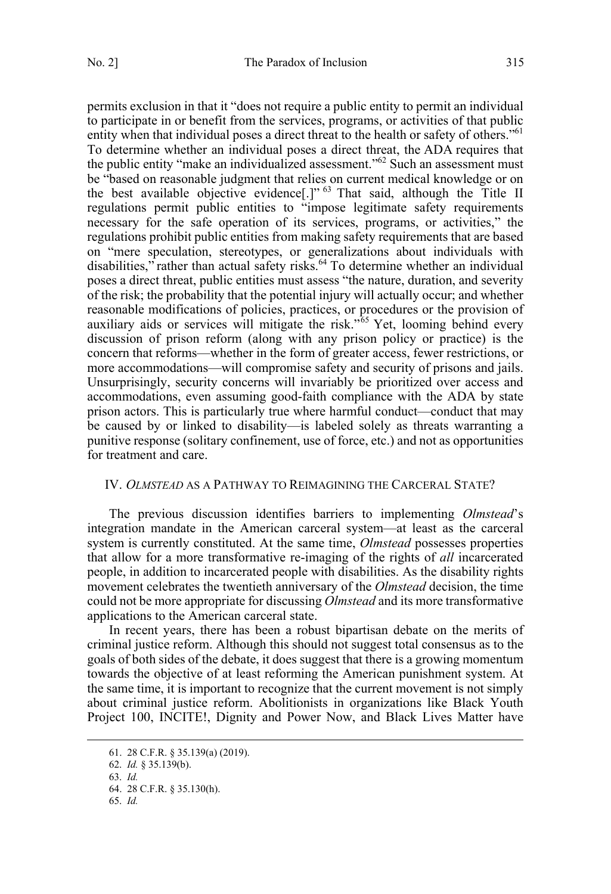<span id="page-10-0"></span>permits exclusion in that it "does not require a public entity to permit an individual to participate in or benefit from the services, programs, or activities of that public entity when that individual poses a direct threat to the health or safety of others."<sup>61</sup> To determine whether an individual poses a direct threat, the ADA requires that the public entity "make an individualized assessment."62 Such an assessment must be "based on reasonable judgment that relies on current medical knowledge or on the best available objective evidence<sup>[1]</sup><sup>63</sup> That said, although the Title II regulations permit public entities to "impose legitimate safety requirements necessary for the safe operation of its services, programs, or activities," the regulations prohibit public entities from making safety requirements that are based on "mere speculation, stereotypes, or generalizations about individuals with disabilities," rather than actual safety risks.<sup>64</sup> To determine whether an individual poses a direct threat, public entities must assess "the nature, duration, and severity of the risk; the probability that the potential injury will actually occur; and whether reasonable modifications of policies, practices, or procedures or the provision of auxiliary aids or services will mitigate the risk."<sup>55</sup> Yet, looming behind every discussion of prison reform (along with any prison policy or practice) is the concern that reforms—whether in the form of greater access, fewer restrictions, or more accommodations—will compromise safety and security of prisons and jails. Unsurprisingly, security concerns will invariably be prioritized over access and accommodations, even assuming good-faith compliance with the ADA by state prison actors. This is particularly true where harmful conduct—conduct that may be caused by or linked to disability—is labeled solely as threats warranting a punitive response (solitary confinement, use of force, etc.) and not as opportunities for treatment and care.

# IV. *OLMSTEAD* AS A PATHWAY TO REIMAGINING THE CARCERAL STATE?

The previous discussion identifies barriers to implementing *Olmstead*'s integration mandate in the American carceral system—at least as the carceral system is currently constituted. At the same time, *Olmstead* possesses properties that allow for a more transformative re-imaging of the rights of *all* incarcerated people, in addition to incarcerated people with disabilities. As the disability rights movement celebrates the twentieth anniversary of the *Olmstead* decision, the time could not be more appropriate for discussing *Olmstead* and its more transformative applications to the American carceral state.

In recent years, there has been a robust bipartisan debate on the merits of criminal justice reform. Although this should not suggest total consensus as to the goals of both sides of the debate, it does suggest that there is a growing momentum towards the objective of at least reforming the American punishment system. At the same time, it is important to recognize that the current movement is not simply about criminal justice reform. Abolitionists in organizations like Black Youth Project 100, INCITE!, Dignity and Power Now, and Black Lives Matter have

<sup>61. 28</sup> C.F.R. § 35.139(a) (2019).

<sup>62.</sup> *Id.* § 35.139(b).

<sup>63.</sup> *Id.*

<sup>64. 28</sup> C.F.R. § 35.130(h).

<sup>65.</sup> *Id.*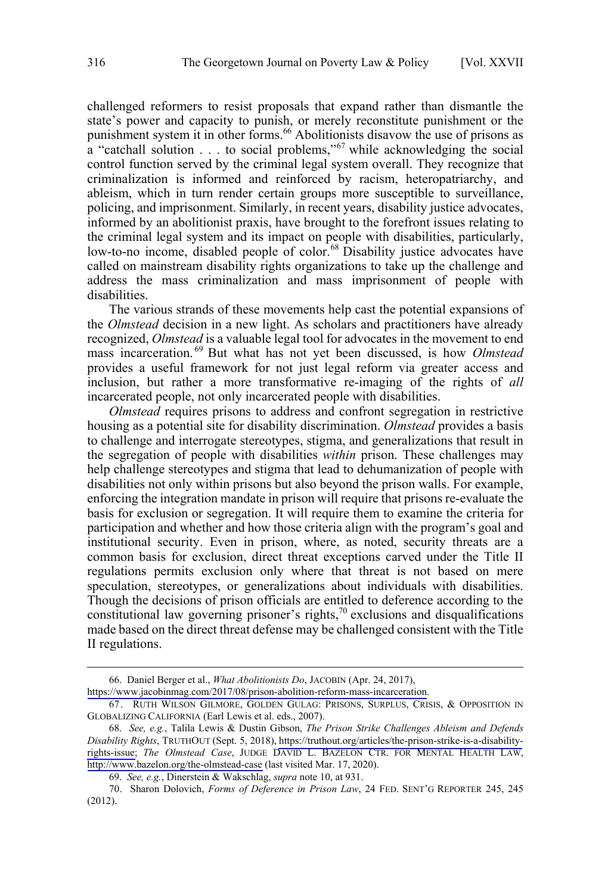challenged reformers to resist proposals that expand rather than dismantle the state's power and capacity to punish, or merely reconstitute punishment or the punishment system it in other forms.<sup>66</sup> Abolitionists disavow the use of prisons as a "catchall solution . . . to social problems,"<sup>67</sup> while acknowledging the social control function served by the criminal legal system overall. They recognize that criminalization is informed and reinforced by racism, heteropatriarchy, and ableism, which in turn render certain groups more susceptible to surveillance, policing, and imprisonment. Similarly, in recent years, disability justice advocates, informed by an abolitionist praxis, have brought to the forefront issues relating to the criminal legal system and its impact on people with disabilities, particularly, low-to-no income, disabled people of color.<sup>68</sup> Disability justice advocates have called on mainstream disability rights organizations to take up the challenge and address the mass criminalization and mass imprisonment of people with

The various strands of these movements help cast the potential expansions of the *Olmstead* decision in a new light. As scholars and practitioners have already recognized, *Olmstead* is a valuable legal tool for advocates in the movement to end mass incarceration.<sup>69</sup> But what has not yet been discussed, is how *Olmstead* provides a useful framework for not just legal reform via greater access and inclusion, but rather a more transformative re-imaging of the rights of *all* incarcerated people, not only incarcerated people with disabilities.

*Olmstead* requires prisons to address and confront segregation in restrictive housing as a potential site for disability discrimination. *Olmstead* provides a basis to challenge and interrogate stereotypes, stigma, and generalizations that result in the segregation of people with disabilities *within* prison. These challenges may help challenge stereotypes and stigma that lead to dehumanization of people with disabilities not only within prisons but also beyond the prison walls. For example, enforcing the integration mandate in prison will require that prisons re-evaluate the basis for exclusion or segregation. It will require them to examine the criteria for participation and whether and how those criteria align with the program's goal and institutional security. Even in prison, where, as noted, security threats are a common basis for exclusion, direct threat exceptions carved under the Title II regulations permits exclusion only where that threat is not based on mere speculation, stereotypes, or generalizations about individuals with disabilities. Though the decisions of prison officials are entitled to deference according to the constitutional law governing prisoner's rights,<sup>70</sup> exclusions and disqualifications made based on the direct threat defense may be challenged consistent with the Title II regulations.

 $\overline{a}$ 

disabilities.

<sup>66.</sup> Daniel Berger et al., *What Abolitionists Do*, JACOBIN (Apr. 24, 2017),

<https://www.jacobinmag.com/2017/08/prison-abolition-reform-mass-incarceration>.

<sup>67.</sup> RUTH WILSON GILMORE, GOLDEN GULAG: PRISONS, SURPLUS, CRISIS, & OPPOSITION IN GLOBALIZING CALIFORNIA (Earl Lewis et al. eds., 2007).

*See, e.g.*, Talila Lewis & Dustin Gibson, *The Prison Strike Challenges Ableism and Defends*  68. *Disability Rights*, TRUTHOUT (Sept. 5, 2018), [https://truthout.org/articles/the-prison-strike-is-a-disability](https://truthout.org/articles/the-prison-strike-is-a-disability-rights-issue)[rights-issue;](https://truthout.org/articles/the-prison-strike-is-a-disability-rights-issue) *The Olmstead Case*, JUDGE DAVID L. BAZELON CTR. FOR MENTAL HEALTH LAW, <http://www.bazelon.org/the-olmstead-case>(last visited Mar. 17, 2020).

<sup>69.</sup> *See, e.g.*, Dinerstein & Wakschlag, *supra* note 10, at 931.

<sup>70.</sup> Sharon Dolovich, *Forms of Deference in Prison Law*, 24 FED. SENT'G REPORTER 245, 245 (2012).